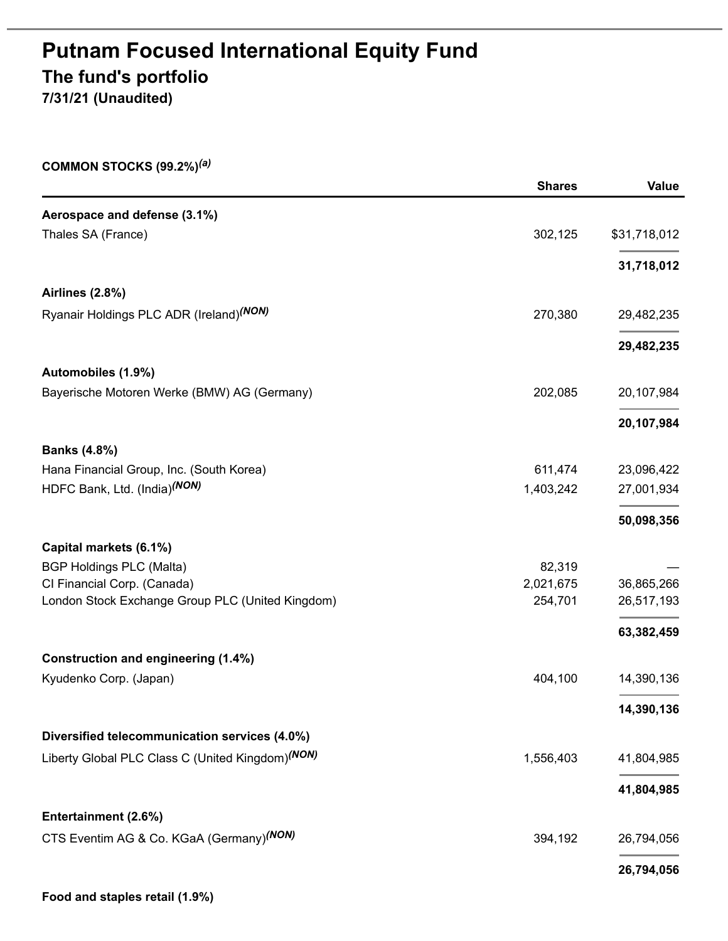# **Putnam Focused International Equity Fund The fund's portfolio 7/31/21 (Unaudited)**

| COMMON STOCKS $(99.2%)^{(a)}$                                |               |              |
|--------------------------------------------------------------|---------------|--------------|
|                                                              | <b>Shares</b> | Value        |
| Aerospace and defense (3.1%)                                 |               |              |
| Thales SA (France)                                           | 302,125       | \$31,718,012 |
|                                                              |               | 31,718,012   |
| <b>Airlines (2.8%)</b>                                       |               |              |
| Ryanair Holdings PLC ADR (Ireland) <sup>(NON)</sup>          | 270,380       | 29,482,235   |
|                                                              |               | 29,482,235   |
| Automobiles (1.9%)                                           |               |              |
| Bayerische Motoren Werke (BMW) AG (Germany)                  | 202,085       | 20,107,984   |
|                                                              |               | 20,107,984   |
| <b>Banks (4.8%)</b>                                          |               |              |
| Hana Financial Group, Inc. (South Korea)                     | 611,474       | 23,096,422   |
| HDFC Bank, Ltd. (India) <sup>(NON)</sup>                     | 1,403,242     | 27,001,934   |
|                                                              |               | 50,098,356   |
| Capital markets (6.1%)                                       |               |              |
| <b>BGP Holdings PLC (Malta)</b>                              | 82,319        |              |
| CI Financial Corp. (Canada)                                  | 2,021,675     | 36,865,266   |
| London Stock Exchange Group PLC (United Kingdom)             | 254,701       | 26,517,193   |
|                                                              |               | 63,382,459   |
| <b>Construction and engineering (1.4%)</b>                   |               |              |
| Kyudenko Corp. (Japan)                                       | 404,100       | 14,390,136   |
|                                                              |               | 14,390,136   |
| Diversified telecommunication services (4.0%)                |               |              |
| Liberty Global PLC Class C (United Kingdom) <sup>(NON)</sup> | 1,556,403     | 41,804,985   |
|                                                              |               | 41,804,985   |
| Entertainment (2.6%)                                         |               |              |
| CTS Eventim AG & Co. KGaA (Germany) <sup>(NON)</sup>         | 394,192       | 26,794,056   |
|                                                              |               | 26,794,056   |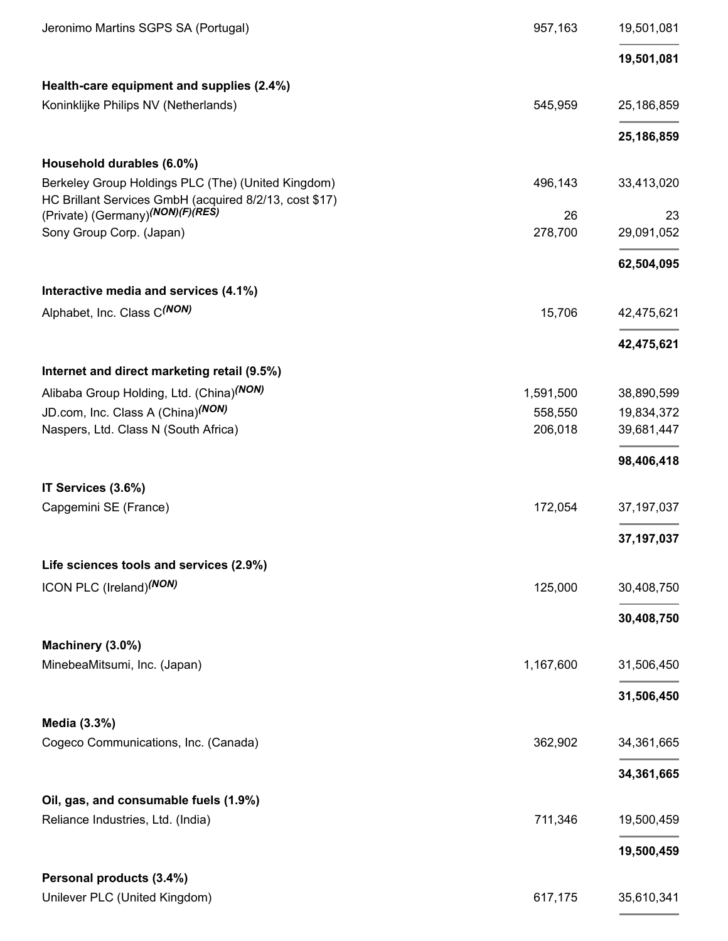| Jeronimo Martins SGPS SA (Portugal)                                                                          | 957,163   | 19,501,081   |
|--------------------------------------------------------------------------------------------------------------|-----------|--------------|
|                                                                                                              |           | 19,501,081   |
| Health-care equipment and supplies (2.4%)                                                                    |           |              |
| Koninklijke Philips NV (Netherlands)                                                                         | 545,959   | 25,186,859   |
|                                                                                                              |           | 25,186,859   |
| Household durables (6.0%)                                                                                    |           |              |
| Berkeley Group Holdings PLC (The) (United Kingdom)<br>HC Brillant Services GmbH (acquired 8/2/13, cost \$17) | 496,143   | 33,413,020   |
| (Private) (Germany) <sup>(NON)</sup> (F)(RES)                                                                | 26        | 23           |
| Sony Group Corp. (Japan)                                                                                     | 278,700   | 29,091,052   |
|                                                                                                              |           | 62,504,095   |
| Interactive media and services (4.1%)                                                                        |           |              |
| Alphabet, Inc. Class C(NON)                                                                                  | 15,706    | 42,475,621   |
|                                                                                                              |           | 42,475,621   |
| Internet and direct marketing retail (9.5%)                                                                  |           |              |
| Alibaba Group Holding, Ltd. (China) <sup>(NON)</sup>                                                         | 1,591,500 | 38,890,599   |
| JD.com, Inc. Class A (China) <sup>(NON)</sup>                                                                | 558,550   | 19,834,372   |
| Naspers, Ltd. Class N (South Africa)                                                                         | 206,018   | 39,681,447   |
|                                                                                                              |           | 98,406,418   |
| IT Services (3.6%)                                                                                           |           |              |
| Capgemini SE (France)                                                                                        | 172,054   | 37, 197, 037 |
|                                                                                                              |           | 37, 197, 037 |
| Life sciences tools and services (2.9%)                                                                      |           |              |
| ICON PLC (Ireland) <sup>(NON)</sup>                                                                          | 125,000   | 30,408,750   |
|                                                                                                              |           | 30,408,750   |
| Machinery (3.0%)                                                                                             |           |              |
| MinebeaMitsumi, Inc. (Japan)                                                                                 | 1,167,600 | 31,506,450   |
|                                                                                                              |           | 31,506,450   |
| Media (3.3%)                                                                                                 |           |              |
| Cogeco Communications, Inc. (Canada)                                                                         | 362,902   | 34,361,665   |
|                                                                                                              |           | 34,361,665   |
| Oil, gas, and consumable fuels (1.9%)                                                                        |           |              |
| Reliance Industries, Ltd. (India)                                                                            | 711,346   | 19,500,459   |
|                                                                                                              |           | 19,500,459   |
| Personal products (3.4%)                                                                                     |           |              |
| Unilever PLC (United Kingdom)                                                                                | 617,175   | 35,610,341   |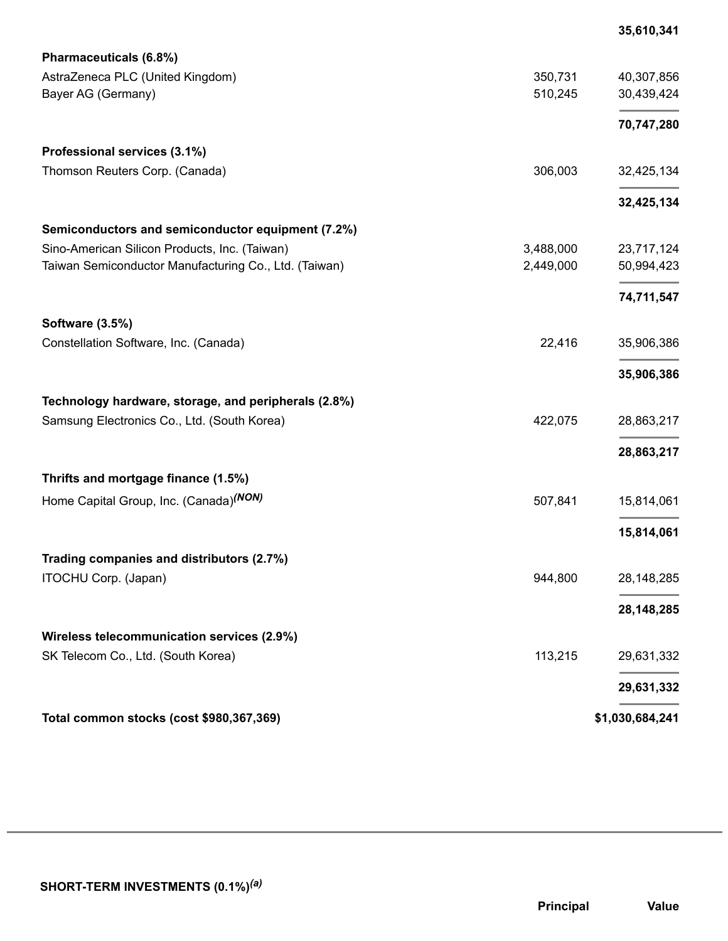|                                                       |           | 35,610,341      |
|-------------------------------------------------------|-----------|-----------------|
| Pharmaceuticals (6.8%)                                |           |                 |
| AstraZeneca PLC (United Kingdom)                      | 350,731   | 40,307,856      |
| Bayer AG (Germany)                                    | 510,245   | 30,439,424      |
|                                                       |           | 70,747,280      |
| Professional services (3.1%)                          |           |                 |
| Thomson Reuters Corp. (Canada)                        | 306,003   | 32,425,134      |
|                                                       |           | 32,425,134      |
| Semiconductors and semiconductor equipment (7.2%)     |           |                 |
| Sino-American Silicon Products, Inc. (Taiwan)         | 3,488,000 | 23,717,124      |
| Taiwan Semiconductor Manufacturing Co., Ltd. (Taiwan) | 2,449,000 | 50,994,423      |
|                                                       |           | 74,711,547      |
| <b>Software (3.5%)</b>                                |           |                 |
| Constellation Software, Inc. (Canada)                 | 22,416    | 35,906,386      |
|                                                       |           | 35,906,386      |
| Technology hardware, storage, and peripherals (2.8%)  |           |                 |
| Samsung Electronics Co., Ltd. (South Korea)           | 422,075   | 28,863,217      |
|                                                       |           | 28,863,217      |
| Thrifts and mortgage finance (1.5%)                   |           |                 |
| Home Capital Group, Inc. (Canada) <sup>(NON)</sup>    | 507,841   | 15,814,061      |
|                                                       |           | 15,814,061      |
| Trading companies and distributors (2.7%)             |           |                 |
| ITOCHU Corp. (Japan)                                  | 944,800   | 28, 148, 285    |
|                                                       |           | 28,148,285      |
| Wireless telecommunication services (2.9%)            |           |                 |
| SK Telecom Co., Ltd. (South Korea)                    | 113,215   | 29,631,332      |
|                                                       |           | 29,631,332      |
| Total common stocks (cost \$980,367,369)              |           | \$1,030,684,241 |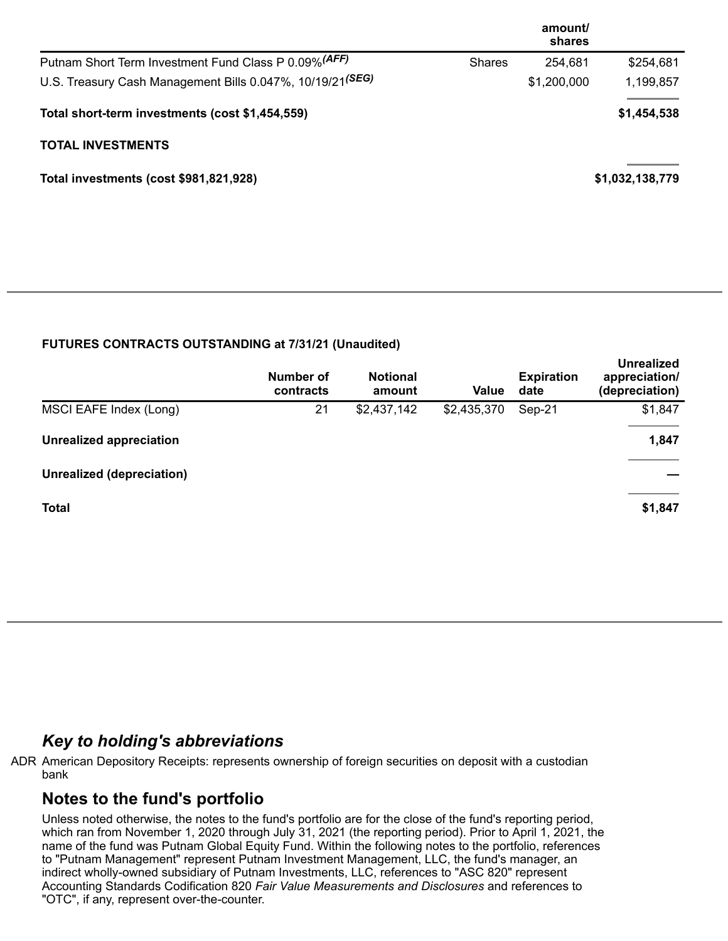|                                                                       |               | amount/<br>shares |                 |
|-----------------------------------------------------------------------|---------------|-------------------|-----------------|
| Putnam Short Term Investment Fund Class P 0.09% (AFF)                 | <b>Shares</b> | 254,681           | \$254,681       |
| U.S. Treasury Cash Management Bills 0.047%, 10/19/21 <sup>(SEG)</sup> |               | \$1,200,000       | 1,199,857       |
| Total short-term investments (cost \$1,454,559)                       |               |                   | \$1,454,538     |
| <b>TOTAL INVESTMENTS</b>                                              |               |                   |                 |
| Total investments (cost \$981,821,928)                                |               |                   | \$1,032,138,779 |

### **FUTURES CONTRACTS OUTSTANDING at 7/31/21 (Unaudited)**

|                                | <b>Number of</b><br>contracts | <b>Notional</b><br>amount | Value       | <b>Expiration</b><br>date | <b>Unrealized</b><br>appreciation/<br>(depreciation) |
|--------------------------------|-------------------------------|---------------------------|-------------|---------------------------|------------------------------------------------------|
| MSCI EAFE Index (Long)         | 21                            | \$2,437,142               | \$2,435,370 | Sep-21                    | \$1,847                                              |
| <b>Unrealized appreciation</b> |                               |                           |             |                           | 1,847                                                |
| Unrealized (depreciation)      |                               |                           |             |                           |                                                      |
| <b>Total</b>                   |                               |                           |             |                           | \$1,847                                              |

### *Key to holding's abbreviations*

ADR American Depository Receipts: represents ownership of foreign securities on deposit with a custodian bank

## **Notes to the fund's portfolio**

Unless noted otherwise, the notes to the fund's portfolio are for the close of the fund's reporting period, which ran from November 1, 2020 through July 31, 2021 (the reporting period). Prior to April 1, 2021, the name of the fund was Putnam Global Equity Fund. Within the following notes to the portfolio, references to "Putnam Management" represent Putnam Investment Management, LLC, the fund's manager, an indirect wholly-owned subsidiary of Putnam Investments, LLC, references to "ASC 820" represent Accounting Standards Codification 820 *Fair Value Measurements and Disclosures* and references to "OTC", if any, represent over-the-counter.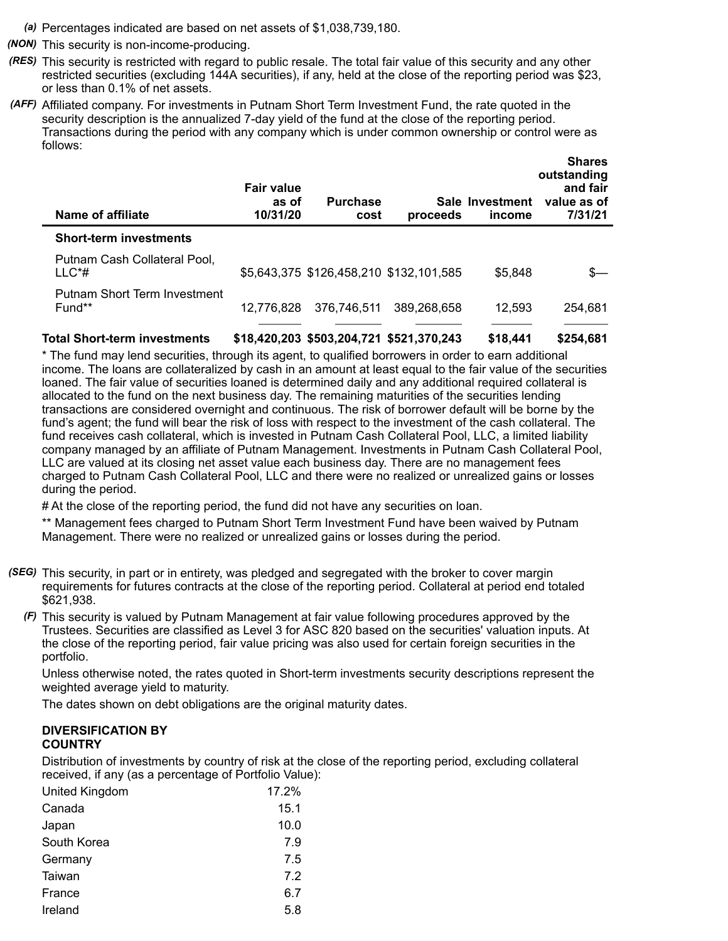- *(a)* Percentages indicated are based on net assets of \$1,038,739,180.
- *(NON)* This security is non-income-producing.
- *(RES)* This security is restricted with regard to public resale. The total fair value of this security and any other restricted securities (excluding 144A securities), if any, held at the close of the reporting period was \$23, or less than 0.1% of net assets.
- *(AFF)* Affiliated company. For investments in Putnam Short Term Investment Fund, the rate quoted in the security description is the annualized 7-day yield of the fund at the close of the reporting period. Transactions during the period with any company which is under common ownership or control were as follows:

| Name of affiliate                         | <b>Fair value</b><br>as of<br>10/31/20 | <b>Purchase</b><br>cost | proceeds                                | Sale Investment<br>income | <b>Shares</b><br>outstanding<br>and fair<br>value as of<br>7/31/21 |
|-------------------------------------------|----------------------------------------|-------------------------|-----------------------------------------|---------------------------|--------------------------------------------------------------------|
| <b>Short-term investments</b>             |                                        |                         |                                         |                           |                                                                    |
| Putnam Cash Collateral Pool,<br>$LLC^*$ # |                                        |                         | \$5,643,375 \$126,458,210 \$132,101,585 | \$5.848                   | $s-$                                                               |
| Putnam Short Term Investment<br>Fund**    | 12.776.828                             | 376,746,511             | 389,268,658                             | 12.593                    | 254,681                                                            |

**Total Short-term investments \$18,420,203 \$503,204,721 \$521,370,243 \$18,441 \$254,681**

\* The fund may lend securities, through its agent, to qualified borrowers in order to earn additional income. The loans are collateralized by cash in an amount at least equal to the fair value of the securities loaned. The fair value of securities loaned is determined daily and any additional required collateral is allocated to the fund on the next business day. The remaining maturities of the securities lending transactions are considered overnight and continuous. The risk of borrower default will be borne by the fund's agent; the fund will bear the risk of loss with respect to the investment of the cash collateral. The fund receives cash collateral, which is invested in Putnam Cash Collateral Pool, LLC, a limited liability company managed by an affiliate of Putnam Management. Investments in Putnam Cash Collateral Pool, LLC are valued at its closing net asset value each business day. There are no management fees charged to Putnam Cash Collateral Pool, LLC and there were no realized or unrealized gains or losses during the period.

# At the close of the reporting period, the fund did not have any securities on loan.

\*\* Management fees charged to Putnam Short Term Investment Fund have been waived by Putnam Management. There were no realized or unrealized gains or losses during the period.

- *(SEG)* This security, in part or in entirety, was pledged and segregated with the broker to cover margin requirements for futures contracts at the close of the reporting period. Collateral at period end totaled \$621,938.
	- *(F)* This security is valued by Putnam Management at fair value following procedures approved by the Trustees. Securities are classified as Level 3 for ASC 820 based on the securities' valuation inputs. At the close of the reporting period, fair value pricing was also used for certain foreign securities in the portfolio.

Unless otherwise noted, the rates quoted in Short-term investments security descriptions represent the weighted average yield to maturity.

The dates shown on debt obligations are the original maturity dates.

#### **DIVERSIFICATION BY COUNTRY**

Distribution of investments by country of risk at the close of the reporting period, excluding collateral received, if any (as a percentage of Portfolio Value):

| United Kingdom | 17.2% |
|----------------|-------|
| Canada         | 15.1  |
| Japan          | 10.0  |
| South Korea    | 7.9   |
| Germany        | 7.5   |
| Taiwan         | 7.2   |
| France         | 6.7   |
| Ireland        | 5.8   |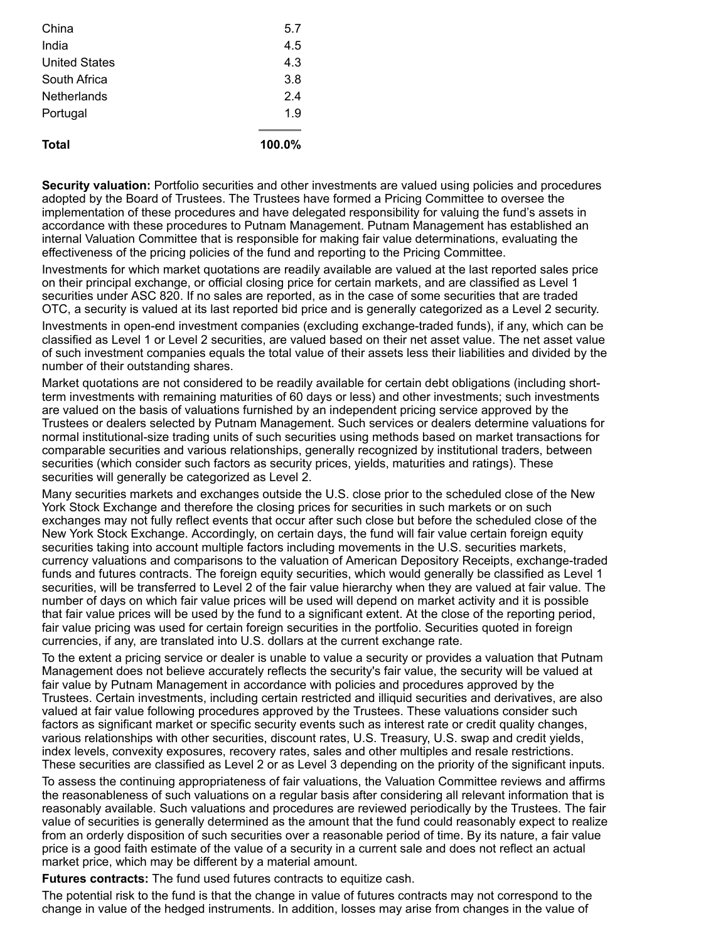| China                | 5.7       |
|----------------------|-----------|
| India                | 4.5       |
| <b>United States</b> | 4.3       |
| South Africa         | 3.8       |
| <b>Netherlands</b>   | 2.4       |
| Portugal             | 1.9       |
| <b>Total</b>         | $100.0\%$ |

**Security valuation:** Portfolio securities and other investments are valued using policies and procedures adopted by the Board of Trustees. The Trustees have formed a Pricing Committee to oversee the implementation of these procedures and have delegated responsibility for valuing the fund's assets in accordance with these procedures to Putnam Management. Putnam Management has established an internal Valuation Committee that is responsible for making fair value determinations, evaluating the effectiveness of the pricing policies of the fund and reporting to the Pricing Committee.

Investments for which market quotations are readily available are valued at the last reported sales price on their principal exchange, or official closing price for certain markets, and are classified as Level 1 securities under ASC 820. If no sales are reported, as in the case of some securities that are traded OTC, a security is valued at its last reported bid price and is generally categorized as a Level 2 security.

Investments in open-end investment companies (excluding exchange-traded funds), if any, which can be classified as Level 1 or Level 2 securities, are valued based on their net asset value. The net asset value of such investment companies equals the total value of their assets less their liabilities and divided by the number of their outstanding shares.

Market quotations are not considered to be readily available for certain debt obligations (including shortterm investments with remaining maturities of 60 days or less) and other investments; such investments are valued on the basis of valuations furnished by an independent pricing service approved by the Trustees or dealers selected by Putnam Management. Such services or dealers determine valuations for normal institutional-size trading units of such securities using methods based on market transactions for comparable securities and various relationships, generally recognized by institutional traders, between securities (which consider such factors as security prices, yields, maturities and ratings). These securities will generally be categorized as Level 2.

Many securities markets and exchanges outside the U.S. close prior to the scheduled close of the New York Stock Exchange and therefore the closing prices for securities in such markets or on such exchanges may not fully reflect events that occur after such close but before the scheduled close of the New York Stock Exchange. Accordingly, on certain days, the fund will fair value certain foreign equity securities taking into account multiple factors including movements in the U.S. securities markets, currency valuations and comparisons to the valuation of American Depository Receipts, exchange-traded funds and futures contracts. The foreign equity securities, which would generally be classified as Level 1 securities, will be transferred to Level 2 of the fair value hierarchy when they are valued at fair value. The number of days on which fair value prices will be used will depend on market activity and it is possible that fair value prices will be used by the fund to a significant extent. At the close of the reporting period, fair value pricing was used for certain foreign securities in the portfolio. Securities quoted in foreign currencies, if any, are translated into U.S. dollars at the current exchange rate.

To the extent a pricing service or dealer is unable to value a security or provides a valuation that Putnam Management does not believe accurately reflects the security's fair value, the security will be valued at fair value by Putnam Management in accordance with policies and procedures approved by the Trustees. Certain investments, including certain restricted and illiquid securities and derivatives, are also valued at fair value following procedures approved by the Trustees. These valuations consider such factors as significant market or specific security events such as interest rate or credit quality changes, various relationships with other securities, discount rates, U.S. Treasury, U.S. swap and credit yields, index levels, convexity exposures, recovery rates, sales and other multiples and resale restrictions. These securities are classified as Level 2 or as Level 3 depending on the priority of the significant inputs.

To assess the continuing appropriateness of fair valuations, the Valuation Committee reviews and affirms the reasonableness of such valuations on a regular basis after considering all relevant information that is reasonably available. Such valuations and procedures are reviewed periodically by the Trustees. The fair value of securities is generally determined as the amount that the fund could reasonably expect to realize from an orderly disposition of such securities over a reasonable period of time. By its nature, a fair value price is a good faith estimate of the value of a security in a current sale and does not reflect an actual market price, which may be different by a material amount.

**Futures contracts:** The fund used futures contracts to equitize cash.

The potential risk to the fund is that the change in value of futures contracts may not correspond to the change in value of the hedged instruments. In addition, losses may arise from changes in the value of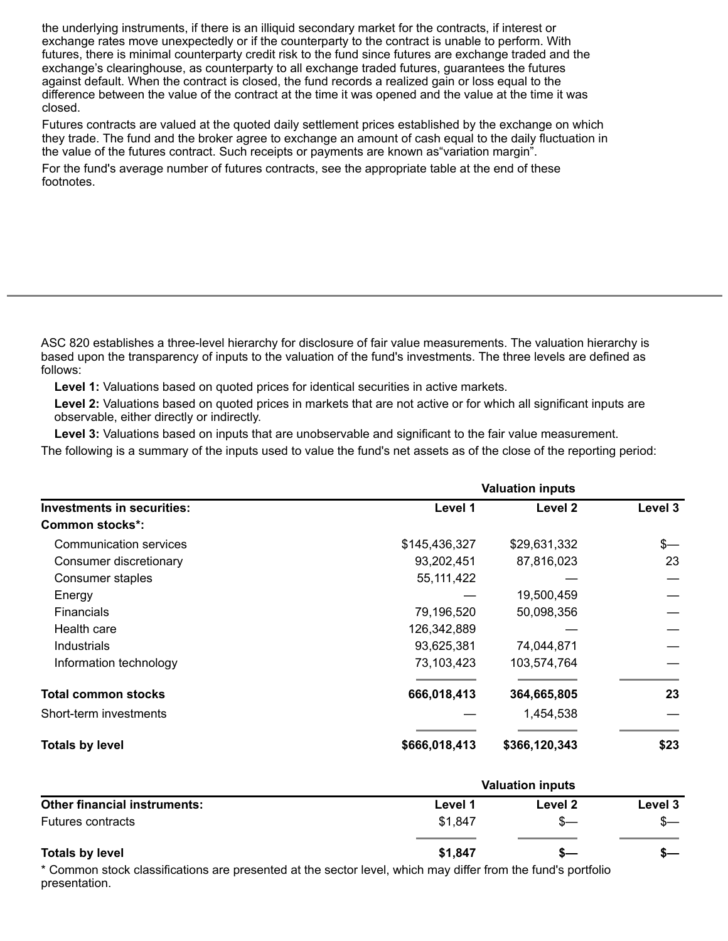the underlying instruments, if there is an illiquid secondary market for the contracts, if interest or exchange rates move unexpectedly or if the counterparty to the contract is unable to perform. With futures, there is minimal counterparty credit risk to the fund since futures are exchange traded and the exchange's clearinghouse, as counterparty to all exchange traded futures, guarantees the futures against default. When the contract is closed, the fund records a realized gain or loss equal to the difference between the value of the contract at the time it was opened and the value at the time it was closed.

Futures contracts are valued at the quoted daily settlement prices established by the exchange on which they trade. The fund and the broker agree to exchange an amount of cash equal to the daily fluctuation in the value of the futures contract. Such receipts or payments are known as"variation margin".

For the fund's average number of futures contracts, see the appropriate table at the end of these footnotes.

ASC 820 establishes a three-level hierarchy for disclosure of fair value measurements. The valuation hierarchy is based upon the transparency of inputs to the valuation of the fund's investments. The three levels are defined as follows:

**Level 1:** Valuations based on quoted prices for identical securities in active markets.

**Level 2:** Valuations based on quoted prices in markets that are not active or for which all significant inputs are observable, either directly or indirectly.

**Level 3:** Valuations based on inputs that are unobservable and significant to the fair value measurement. The following is a summary of the inputs used to value the fund's net assets as of the close of the reporting period:

| <b>Investments in securities:</b> | <b>Valuation inputs</b> |               |               |  |
|-----------------------------------|-------------------------|---------------|---------------|--|
|                                   | Level 1                 | Level 2       | Level 3       |  |
| <b>Common stocks*:</b>            |                         |               |               |  |
| Communication services            | \$145,436,327           | \$29,631,332  | $\frac{2}{2}$ |  |
| Consumer discretionary            | 93,202,451              | 87,816,023    | 23            |  |
| Consumer staples                  | 55, 111, 422            |               |               |  |
| Energy                            |                         | 19,500,459    |               |  |
| Financials                        | 79,196,520              | 50,098,356    |               |  |
| Health care                       | 126,342,889             |               |               |  |
| Industrials                       | 93,625,381              | 74,044,871    |               |  |
| Information technology            | 73,103,423              | 103,574,764   |               |  |
| <b>Total common stocks</b>        | 666,018,413             | 364,665,805   | 23            |  |
| Short-term investments            |                         | 1,454,538     |               |  |
| <b>Totals by level</b>            | \$666,018,413           | \$366,120,343 | \$23          |  |

| <b>Other financial instruments:</b> | <b>Valuation inputs</b> |         |         |  |
|-------------------------------------|-------------------------|---------|---------|--|
|                                     | Level 1                 | Level 2 | Level 3 |  |
| <b>Futures contracts</b>            | \$1,847                 |         |         |  |
| <b>Totals by level</b>              | \$1,847                 |         |         |  |

\* Common stock classifications are presented at the sector level, which may differ from the fund's portfolio presentation.